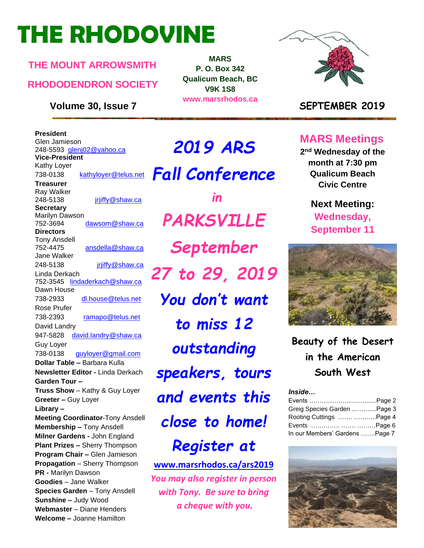# **THE RHODOVINE**

### **THE MOUNT ARROWSMITH**

### **RHODODENDRON SOCIETY**

**President** Glen Jamieson 248-5593 [glenj02@yahoo.ca](mailto:glenj02@yahoo.ca) **Vice-President** Kathy Loyer 738-0138 [kathyloyer@telus.net](mailto:kathyloyer@telus.net) **Treasurer** Ray Walker 248-5138 **jriiffy@shaw.ca Secretary** Marilyn Dawson 752-3694 dawsom@shaw.ca **Directors**  Tony Ansdell 752-4475 [ansdella@shaw.ca](mailto:ansdella@shaw.ca) Jane Walker 248-5138 [jrjiffy@shaw.ca](mailto:jrjiffy@shaw.ca) Linda Derkach 752-3545 [lindaderkach@shaw.ca](mailto:lindaderkach@shaw.ca) Dawn House 738-2933 [dl.house@telus.net](mailto:dl.house@telus.net) Rose Prufer 738-2393 [ramapo@telus.net](mailto:ramapo@telus.net) David Landry 947-5828 [david.landry@shaw.ca](mailto:david.landry@shaw.ca) Guy Loyer 738-0138 [guyloyer@gmail.com](mailto:guyloyer@gmail.com) **Dollar Table –** Barbara Kulla **Newsletter Editor -** Linda Derkach **Garden Tour – Truss Show** – Kathy & Guy Loyer **Greeter –** Guy Loyer **Library – Meeting Coordinator**-Tony Ansdell **Membership –** Tony Ansdell **Milner Gardens -** John England **Plant Prizes –** Sherry Thompson **Program Chair –** Glen Jamieson **Propagation** – Sherry Thompson **PR -** Marilyn Dawson **Goodies** – Jane Walker **Species Garden** – Tony Ansdell **Sunshine –** Judy Wood **Webmaster** – Diane Henders **Welcome –** Joanne Hamilton

*2019 ARS Fall Conference in PARKSVILLE September 27 to 29, 2019 You don't want to miss 12 outstanding speakers, tours and events this close to home! Register at* 

**MARS P. O. Box 342 Qualicum Beach, BC V9K 1S8 www.marsrhodos.ca**

**[www.marsrhodos.ca/ars2019](http://www.marsrhodos.ca/ars2019)** *You may also register in person with Tony. Be sure to bring a cheque with you.*



### **Volume 30, Issue 7 SEPTEMBER 2019**

# **MARS Meetings**

**2 nd Wednesday of the month at 7:30 pm Qualicum Beach Civic Centre**

> **Next Meeting: Wednesday, September 11**



**Beauty of the Desert in the American South West**

#### *Inside…*

| Greig Species Garden Page 3    |  |
|--------------------------------|--|
| Rooting Cuttings  Page 4       |  |
| Events   Page 6                |  |
| In our Members' Gardens Page 7 |  |

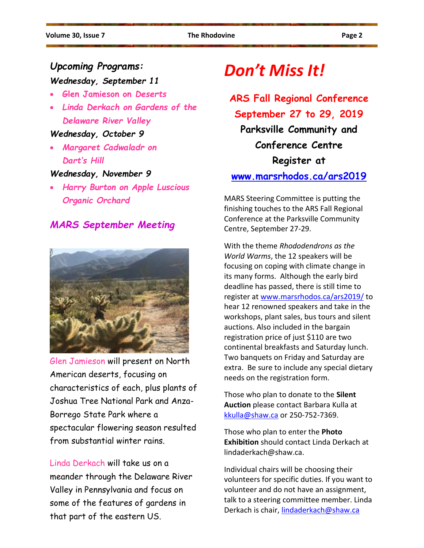# *Upcoming Programs:*

# *Wednesday, September 11*

- **Glen Jamieson on** *Deserts*
- *Linda Derkach on Gardens of the Delaware River Valley*

#### *Wednesday, October 9*

• *Margaret Cadwaladr on Dart's Hill*

### *Wednesday, November 9*

• *Harry Burton on Apple Luscious Organic Orchard*

*MARS September Meeting*



Glen Jamieson will present on North American deserts, focusing on characteristics of each, plus plants of Joshua Tree National Park and Anza-Borrego State Park where a spectacular flowering season resulted from substantial winter rains.

Linda Derkach will take us on a meander through the Delaware River Valley in Pennsylvania and focus on some of the features of gardens in that part of the eastern US.

# *Don't Miss It!*

# **ARS Fall Regional Conference September 27 to 29, 2019**

**Parksville Community and Conference Centre Register at** 

### **[www.marsrhodos.ca/ars2019](http://www.marsrhodos.ca/ars2019)**

MARS Steering Committee is putting the finishing touches to the ARS Fall Regional Conference at the Parksville Community Centre, September 27-29.

With the theme *Rhododendrons as the World Warms*, the 12 speakers will be focusing on coping with climate change in its many forms. Although the early bird deadline has passed, there is still time to register at [www.marsrhodos.ca/ars2019/](http://www.marsrhodos.ca/ars2019/) to hear 12 renowned speakers and take in the workshops, plant sales, bus tours and silent auctions. Also included in the bargain registration price of just \$110 are two continental breakfasts and Saturday lunch. Two banquets on Friday and Saturday are extra. Be sure to include any special dietary needs on the registration form.

Those who plan to donate to the **Silent Auction** please contact Barbara Kulla at [kkulla@shaw.ca](mailto:kkulla@shaw.ca) or 250-752-7369.

Those who plan to enter the **Photo Exhibition** should contact Linda Derkach at lindaderkach@shaw.ca.

Individual chairs will be choosing their volunteers for specific duties. If you want to volunteer and do not have an assignment, talk to a steering committee member. Linda Derkach is chair, [lindaderkach@shaw.ca](mailto:lindaderkach@shaw.ca)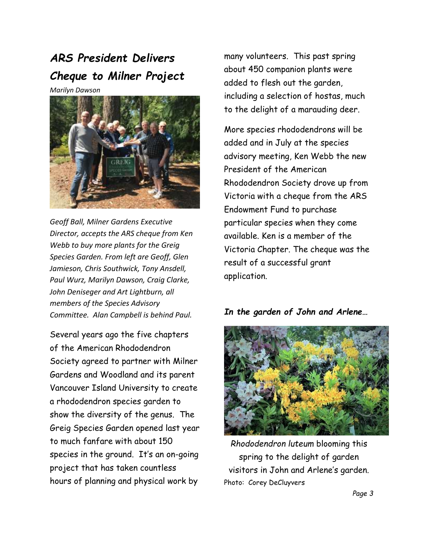# *ARS President Delivers Cheque to Milner Project*

*Marilyn Dawson*



*Geoff Ball, Milner Gardens Executive Director, accepts the ARS cheque from Ken Webb to buy more plants for the Greig Species Garden. From left are Geoff, Glen Jamieson, Chris Southwick, Tony Ansdell, Paul Wurz, Marilyn Dawson, Craig Clarke, John Deniseger and Art Lightburn, all members of the Species Advisory Committee. Alan Campbell is behind Paul.*

Several years ago the five chapters of the American Rhododendron Society agreed to partner with Milner Gardens and Woodland and its parent Vancouver Island University to create a rhododendron species garden to show the diversity of the genus. The Greig Species Garden opened last year to much fanfare with about 150 species in the ground. It's an on-going project that has taken countless hours of planning and physical work by

many volunteers. This past spring about 450 companion plants were added to flesh out the garden, including a selection of hostas, much to the delight of a marauding deer.

More species rhododendrons will be added and in July at the species advisory meeting, Ken Webb the new President of the American Rhododendron Society drove up from Victoria with a cheque from the ARS Endowment Fund to purchase particular species when they come available. Ken is a member of the Victoria Chapter. The cheque was the result of a successful grant application.

### *In the garden of John and Arlene…*



*Rhododendron luteum* blooming this spring to the delight of garden visitors in John and Arlene's garden. Photo: Corey DeCluyvers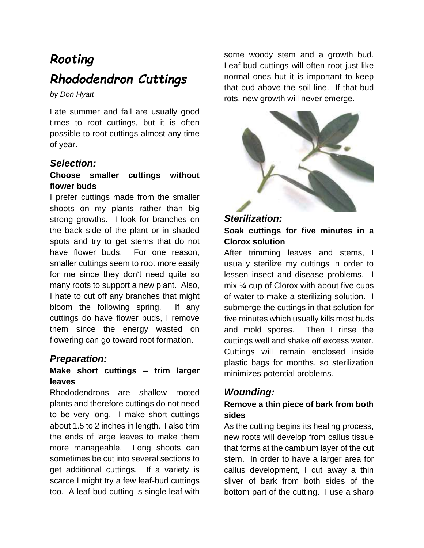# *Rooting Rhododendron Cuttings*

*by Don Hyatt*

Late summer and fall are usually good times to root cuttings, but it is often possible to root cuttings almost any time of year.

### *Selection:*

### **Choose smaller cuttings without flower buds**

I prefer cuttings made from the smaller shoots on my plants rather than big strong growths. I look for branches on the back side of the plant or in shaded spots and try to get stems that do not have flower buds. For one reason, smaller cuttings seem to root more easily for me since they don't need quite so many roots to support a new plant. Also, I hate to cut off any branches that might bloom the following spring. If any cuttings do have flower buds, I remove them since the energy wasted on flowering can go toward root formation.

### *Preparation:*

### **Make short cuttings – trim larger leaves**

Rhododendrons are shallow rooted plants and therefore cuttings do not need to be very long. I make short cuttings about 1.5 to 2 inches in length. I also trim the ends of large leaves to make them more manageable. Long shoots can sometimes be cut into several sections to get additional cuttings. If a variety is scarce I might try a few leaf-bud cuttings too. A leaf-bud cutting is single leaf with

some woody stem and a growth bud. Leaf-bud cuttings will often root just like normal ones but it is important to keep that bud above the soil line. If that bud rots, new growth will never emerge.



### *Sterilization:*

### **Soak cuttings for five minutes in a Clorox solution**

After trimming leaves and stems, I usually sterilize my cuttings in order to lessen insect and disease problems. I mix ¼ cup of Clorox with about five cups of water to make a sterilizing solution. I submerge the cuttings in that solution for five minutes which usually kills most buds and mold spores. Then I rinse the cuttings well and shake off excess water. Cuttings will remain enclosed inside plastic bags for months, so sterilization minimizes potential problems.

### *Wounding:*

### **Remove a thin piece of bark from both sides**

As the cutting begins its healing process, new roots will develop from callus tissue that forms at the cambium layer of the cut stem. In order to have a larger area for callus development, I cut away a thin sliver of bark from both sides of the bottom part of the cutting. I use a sharp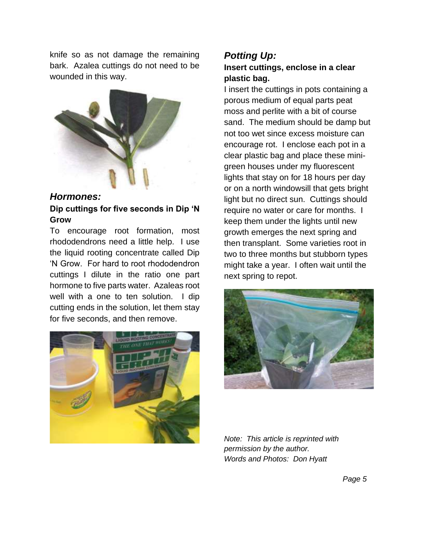knife so as not damage the remaining bark. Azalea cuttings do not need to be wounded in this way.



*Hormones:*  **Dip cuttings for five seconds in Dip 'N Grow**

To encourage root formation, most rhododendrons need a little help. I use the liquid rooting concentrate called Dip 'N Grow. For hard to root rhododendron cuttings I dilute in the ratio one part hormone to five parts water. Azaleas root well with a one to ten solution. I dip cutting ends in the solution, let them stay for five seconds, and then remove.



### *Potting Up:*  **Insert cuttings, enclose in a clear plastic bag.**

I insert the cuttings in pots containing a porous medium of equal parts peat moss and perlite with a bit of course sand. The medium should be damp but not too wet since excess moisture can encourage rot. I enclose each pot in a clear plastic bag and place these minigreen houses under my fluorescent lights that stay on for 18 hours per day or on a north windowsill that gets bright light but no direct sun. Cuttings should require no water or care for months. I keep them under the lights until new growth emerges the next spring and then transplant. Some varieties root in two to three months but stubborn types might take a year. I often wait until the next spring to repot.



*Note: This article is reprinted with permission by the author. Words and Photos: Don Hyatt*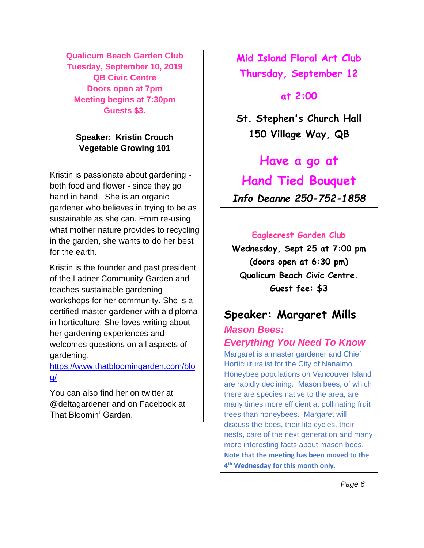**Qualicum Beach Garden Club Tuesday, September 10, 2019 QB Civic Centre Doors open at 7pm Meeting begins at 7:30pm Guests \$3.**

### **Speaker: Kristin Crouch Vegetable Growing 101**

Kristin is passionate about gardening both food and flower - since they go hand in hand. She is an organic gardener who believes in trying to be as sustainable as she can. From re-using what mother nature provides to recycling in the garden, she wants to do her best for the earth.

Kristin is the founder and past president of the Ladner Community Garden and teaches sustainable gardening workshops for her community. She is a certified master gardener with a diploma in horticulture. She loves writing about her gardening experiences and welcomes questions on all aspects of gardening.

[https://www.thatbloomingarden.com/blo](https://www.thatbloomingarden.com/blog/) [g/](https://www.thatbloomingarden.com/blog/)

You can also find her on twitter at @deltagardener and on Facebook at That Bloomin' Garden.

**Mid Island Floral Art Club Thursday, September 12** 

### **at 2:00**

**St. Stephen's Church Hall 150 Village Way, QB**

**Have a go at Hand Tied Bouquet**

*Info Deanne 250-752-1858*

### **Eaglecrest Garden Club**

**Wednesday, Sept 25 at 7:00 pm (doors open at 6:30 pm) Qualicum Beach Civic Centre. Guest fee: \$3**

# **Speaker: Margaret Mills**

*Mason Bees: Everything You Need To Know*

Margaret is a master gardener and Chief Horticulturalist for the City of Nanaimo. Honeybee populations on Vancouver Island are rapidly declining. Mason bees, of which there are species native to the area, are many times more efficient at pollinating fruit trees than honeybees. Margaret will discuss the bees, their life cycles, their nests, care of the next generation and many more interesting facts about mason bees. **Note that the meeting has been moved to the 4 th Wednesday for this month only.**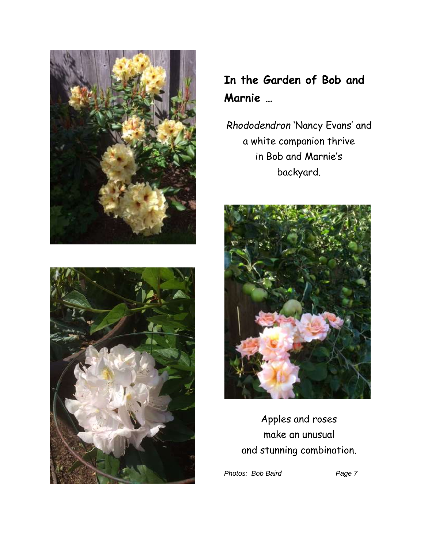



*Rhododendron* 'Nancy Evans' and a white companion thrive in Bob and Marnie's backyard.



Apples and roses make an unusual and stunning combination.

Photos: Bob Baird **Page 7**